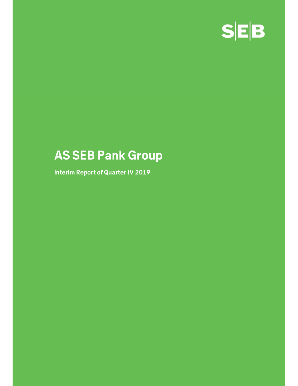

# AS SEB Pank Group

Interim Report of Quarter IV 2019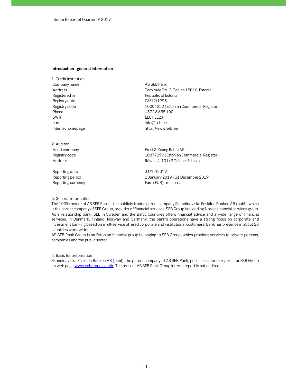#### Introduction - general information

1. Credit institution

ntroduction - general information<br>
I. Credit institution<br>
Company name AS SEB Pank<br>
Registered in AS SEB Pank<br>
Registered in Republic of Estonia<br>
Registry date Registry date<br>
Registry date Republic of Estonia<br>
Registry dat ntroduction - general information<br>
L. Credit institution<br>
Company name<br>
Address<br>
Address<br>
Tornimäe Str. 2, Tallinn 15010, Estonia<br>
Registered in<br>
Registry date<br>
Registry code<br>
Tornimäe Str. 2, Tallinn 15010, Estonia<br>
Regis Registered in Republic of Estonia **ntroduction - general information<br>
L. Credit institution<br>
Company name Address<br>
Address<br>
Registered in Tornimae Str. 2, Tallinn 15010, Estonia<br>
Registry date Registry date 08/12/1995<br>
Phone 10004252 (Estonian Commercial R** ntroduction - general information<br>
1. Credit institution<br>
AG SEB Pank<br>
Registered in<br>
Registry date<br>
Registry code<br>
Registry code<br>
The Commercial Register)<br>
Registry code<br>
Theone<br>
SWIFT<br>
STZ - 6 655 100<br>
SWIFT<br>
E-UHEE2X<br>
F ntroduction - general information<br>
L. Credit institution<br>
Company name<br>
Address<br>
Address<br>
Registered in<br>
Register die and the state of Estonia<br>
Registry code<br>
Phone<br>
Phone<br>
Phone<br>
The Hall Hersen Hersen Hersen (Pack of Est ntroduction - general information<br>
1. Credit institution<br>
Company name Address<br>
Address Tornimäe Str. 2, Tallinn 15010, Estonia<br>
Registered in Republic of Estonia<br>
Registry date 08/12/1995<br>
Registry code 10004252 (Estonian ntroduction - general information<br>
L. Credit institution<br>
Company name<br>
Address<br>
Registered in Registered in Republic of Estonia<br>
Registered in Republic of Estonia<br>
Registry date<br>
Registry date<br>
Phone<br>
Phone 10004252 (Esto **ntroduction - general information<br>
I. Credit institution<br>
AGSEE Pank<br>
Address<br>
Address<br>
Registered in<br>
Registry date<br>
Registry date<br>
Registry code<br>
Phone - 10004252 (Estonian Commercial Register)<br>
+372 6655 100<br>
SWIFT<br>
+** 1. Credit institution<br>
Company anne<br>
Address<br>
Alegistered in<br>
Registry date<br>
Registry date<br>
Registry code<br>
Registry code<br>
The method of Estonian Commercial Register<br>
SMIFT<br>
SWIFT<br>
- mail<br>
SMIFT<br>
- mail<br>
Info@seb.ee<br>
Intern Company name<br>
Address<br>
Address<br>
Address<br>
Registry date<br>
Registry code 108012/1995<br>
Registry code 10004252 (Estonian Commercial Register)<br>
Phone<br>  $+3726655100$ <br>
SWIFT<br>
E-mail<br>
EFUHEEZX<br>
Into@seb.ee<br>
Internet homepage http:/ Address<br>
Address<br>
Registry date<br>
Registry date<br>
Registry date<br>
Registry code<br>
Registry code<br>
Phone<br>
Phone<br>
Therman Headless<br>
Simple 10004252 (Estonian Commercial Register)<br>
Phone<br>
43726 655 100<br>
EEUHEE2X<br>
Info@seb.ee<br>
Inte Registry date<br>
Registry code<br>
Reporting date 31/12/1995<br>
Phone Security code 5100<br>
SWIFT<br>
SWIFT<br>
SWIFT<br>
SWIFT<br>
SWIFT<br>
EEUHEE2X<br>
info@seb.ee<br>
Internet homepage<br>
Internet homepage<br>
2. Auditor<br>
Audit company<br>
Emst & Young Bal Registry code<br>
Phone<br>
Phone<br>
SWIFT<br>
SWIFT<br>
SWIFT<br>
Commercial Register<br>
Internet homepage<br>
Internet homepage<br>
2. Auditor<br>
Audit company<br>
2. Auditor<br>
Audit company<br>
Reporting period<br>
Reporting date<br>
Reporting period<br>
Reporti Phone<br>
EUHEE2X<br>
E-mail<br>
e-mail<br>
e-mail<br>
e-mail<br>
e-mail<br>
e-mail<br>
2. Auditor<br>
Auditor<br>
Auditor<br>
Auditor<br>
Auditor<br>
Auditor<br>
Auditor<br>
Auditor<br>
Auditor<br>
Auditor<br>
Auditor<br>
Auditor<br>
Auditor<br>
Reporting one<br>
Reporting date<br>
Reporti

2. Auditor

### 3. General information

The 100% owner of AS SEB Pank is the publicly traded parent company Skandinaviska Enskilda Banken AB (publ), which is the parent company of SEB Group, provider of financial services. SEB Group is a leading Nordic financial services group. As a relationship bank, SEB in Sweden and the Baltic countries offers financial advice and a wide range of financial services. In Denmark, Finland, Norway and Germany, the bank's operations have a strong focus on corporate and investment banking based on a full-service offered corporate and institutional customers. Bank has presence in about 20 countries worldwide.

AS SEB Pank Group is an Estonian financial group belonging to SEB Group, which provides services to private persons, companies and the public sector.

### 4. Basis for preparation

Skandinaviska Enskilda Banken AB (publ), the parent company of AS SEB Pank, publishes interim reports for SEB Group on web page www.sebgroup.com/ir. The present AS SEB Pank Group interim report is not audited.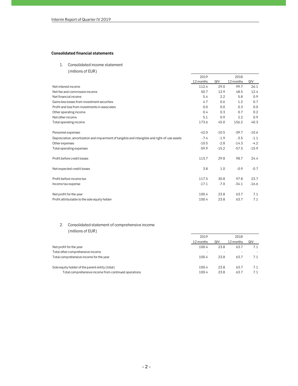# Consolidated financial statements

| Interim Report of Quarter IV 2019                                                            |           |                          |                |         |
|----------------------------------------------------------------------------------------------|-----------|--------------------------|----------------|---------|
|                                                                                              |           |                          |                |         |
|                                                                                              |           |                          |                |         |
|                                                                                              |           |                          |                |         |
|                                                                                              |           |                          |                |         |
| <b>Consolidated financial statements</b>                                                     |           |                          |                |         |
| Consolidated income statement<br>1.                                                          |           |                          |                |         |
| (millions of EUR)                                                                            |           |                          |                |         |
|                                                                                              | 2019      |                          | 2018           |         |
|                                                                                              | 12 months | QIV                      | 12 months      | QIV     |
| Net interest income                                                                          | 112.4     | 29.0                     | 99.7           | 26.1    |
| Net fee and commission income                                                                | 50.7      | 12.9                     | 48.5           | 12.4    |
| Net financial income                                                                         | 5.4       | 2.2                      | 5.8            | 0.9     |
| Gains less losses from investment securities                                                 | 4.7       | 0.6                      | 1.2            | 0.7     |
| Profit and loss from investments in associates                                               | 0.0       | 0.0                      | 0.3            | 0.0     |
| Other operating income                                                                       | 0.4       | 0.3                      | 0.7            | 0.2     |
| Net other income                                                                             | 5.1       | 0.9                      | 2.2            | 0.9     |
| Total operating income                                                                       | 173.6     | 45.0                     | 156.2          | 40.3    |
| Personnel expenses                                                                           | $-42.0$   | $-10.5$                  | $-39.7$        | $-10.6$ |
| Depreciation, amortization and impairment of tangible and intangible and right-of-use assets | $-7.4$    | $-1.9$                   | $-3.5$         | $-1.1$  |
| Other expenses                                                                               | $-10.5$   | $-2.8$                   | $-14.3$        | $-4.2$  |
| Total operating expenses                                                                     | $-59.9$   | $-15.2$                  | $-57.5$        | $-15.9$ |
| Profit before credit losses                                                                  | 113.7     | 29.8                     | 98.7           | 24.4    |
| Net expected credit losses                                                                   | 3.8       | 1.0                      | $-0.9$         | $-0.7$  |
| Profit before income tax                                                                     | 117.5     | 30.8                     | 97.8           | 23.7    |
| Income tax expense                                                                           | $-17.1$   | $-7.0$                   | $-34.1$        | $-16.6$ |
| Net profit for the year                                                                      | 100.4     | 23.8                     | 63.7           | 7.1     |
| Profit attributable to the sole equity holder                                                | 100.4     | 23.8                     | 63.7           | 7.1     |
| Consolidated statement of comprehensive income<br>2.<br>(millions of EUR)                    |           |                          |                |         |
|                                                                                              | 2019      |                          | 2018           |         |
|                                                                                              | 12 months | QIV                      | 12 months      | QIV     |
| Net profit for the year                                                                      | 100.4     | 23.8                     | 63.7           | 7.1     |
| Total other comprehensive income                                                             | $\sim$    | $\overline{\phantom{a}}$ | $\blacksquare$ | ÷       |
| Total comprehensive income for the year                                                      | 100.4     | 23.8                     | 63.7           | 7.1     |
|                                                                                              |           |                          |                |         |

# 2. Consolidated statement of comprehensive income (millions of EUR)

| Profit before income tax                             | L17.5     | JU.O                     | Y7.8                     | 25.7    |
|------------------------------------------------------|-----------|--------------------------|--------------------------|---------|
| Income tax expense                                   | $-17.1$   | $-7.0$                   | $-34.1$                  | $-16.6$ |
| Net profit for the year                              | 100.4     | 23.8                     | 63.7                     | 7.1     |
| Profit attributable to the sole equity holder        | 100.4     | 23.8                     | 63.7                     | 7.1     |
|                                                      |           |                          |                          |         |
| 2.<br>Consolidated statement of comprehensive income |           |                          |                          |         |
| (millions of EUR)                                    |           |                          |                          |         |
|                                                      | 2019      |                          | 2018                     |         |
|                                                      | 12 months | QIV                      | 12 months                | QIV     |
| Net profit for the year                              | 100.4     | 23.8                     | 63.7                     | 7.1     |
| Total other comprehensive income                     |           | $\overline{\phantom{a}}$ | $\overline{\phantom{a}}$ | $\sim$  |
| Total comprehensive income for the year              | 100.4     | 23.8                     | 63.7                     | 7.1     |
|                                                      |           |                          |                          |         |
| Sole equity holder of the parent entity (total)      | 100.4     | 23.8                     | 63.7                     | 7.1     |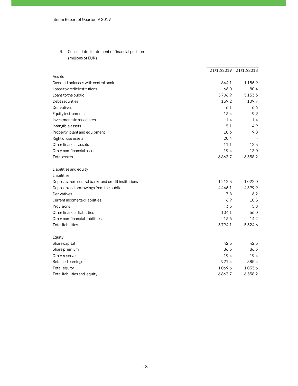| Interim Report of Quarter IV 2019                                       |                       |                          |
|-------------------------------------------------------------------------|-----------------------|--------------------------|
|                                                                         |                       |                          |
|                                                                         |                       |                          |
|                                                                         |                       |                          |
|                                                                         |                       |                          |
| Consolidated statement of financial position<br>3.<br>(millions of EUR) |                       |                          |
|                                                                         |                       |                          |
|                                                                         | 31/12/2019 31/12/2018 |                          |
| Assets                                                                  |                       |                          |
| Cash and balances with central bank                                     | 844.1                 | 1156.9                   |
| Loans to credit institutions                                            | 66.0                  | 80.4                     |
| Loans to the public                                                     | 5706.9                | 5153.3                   |
| Debt securities                                                         | 159.2                 | 109.7                    |
| Derivatives                                                             | 6.1                   | 6.6                      |
| Equity instruments                                                      | 13.4                  | 9.9                      |
| Investments in associates                                               | 1.4                   | 1.4                      |
| Intangible assets                                                       | 5.1                   | 4.9                      |
| Property, plant and equipment                                           | 10.6                  | 9.8                      |
| Right of use assets<br>Other financial assets                           | 20.4<br>11.1          | $\overline{\phantom{a}}$ |
| Other non-financial assets                                              | 19.4                  | 12.3<br>13.0             |
| <b>Total assets</b>                                                     | 6863.7                | 6558.2                   |
|                                                                         |                       |                          |
| Liabilities and equity                                                  |                       |                          |
| Liabilities                                                             |                       |                          |
| Deposits from central banks and credit institutions                     | 1212.3                | 1022.0                   |
| Deposits and borrowings from the public                                 | 4446.1                | 4399.9                   |
| Derivatives                                                             | 7.8                   | 6.2                      |
| Current income tax liabilities                                          | 6.9                   | 10.5                     |
| Provisions                                                              | 3.3                   | 5.8                      |
| Other financial liabilities                                             | 104.1                 | 66.0                     |
| Other non-financial liabilities                                         | 13.6                  | 14.2                     |
| <b>Total liabilities</b>                                                | 5794.1                | 5524.6                   |
| Equity                                                                  |                       |                          |
| Share capital                                                           | 42.5                  | 42.5                     |
| Share premium                                                           | 86.3                  | 86.3                     |
| Other reserves                                                          | 19.4                  | 19.4                     |
| Retained earnings                                                       | 921.4                 | 885.4                    |
| Total equity                                                            | 1069.6                | 1033.6                   |
| Total liabilities and equity                                            | 6863.7                | 6558.2                   |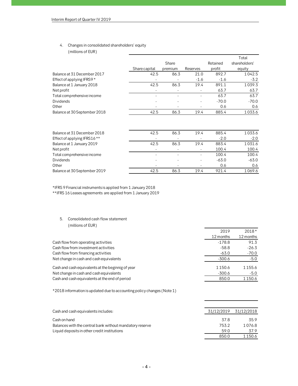# 4. Changes in consolidated shareholders' equity

| Interim Report of Quarter IV 2019                  |                          |                          |                          |          |               |
|----------------------------------------------------|--------------------------|--------------------------|--------------------------|----------|---------------|
|                                                    |                          |                          |                          |          |               |
|                                                    |                          |                          |                          |          |               |
|                                                    |                          |                          |                          |          |               |
| Changes in consolidated shareholders' equity<br>4. |                          |                          |                          |          |               |
| (millions of EUR)                                  |                          |                          |                          |          |               |
|                                                    |                          |                          |                          |          | Total         |
|                                                    |                          | Share                    |                          | Retained | shareholders' |
|                                                    | Share capital            | premium                  | Reserves                 | profit   | equity        |
| Balance at 31 December 2017                        | 42.5                     | 86.3                     | 21.0                     | 892.7    | 1042.5        |
| Effect of applying IFRS9*                          |                          |                          | $-1.6$                   | $-1.6$   | $-3.2$        |
| Balance at 1 January 2018                          | 42.5                     | 86.3                     | 19.4                     | 891.1    | 1039.3        |
| Net profit                                         |                          | $\overline{\phantom{a}}$ |                          | 63.7     | 63.7          |
| Total comprehensive income                         | $\overline{\phantom{a}}$ | $\overline{a}$           | $\overline{a}$           | 63.7     | 63.7          |
| <b>Dividends</b>                                   |                          |                          |                          | $-70.0$  | $-70.0$       |
| Other                                              |                          |                          |                          | 0.6      | 0.6           |
| Balance at 30 September 2018                       | 42.5                     | 86.3                     | 19.4                     | 885.4    | 1033.6        |
|                                                    |                          |                          |                          |          |               |
|                                                    |                          |                          |                          |          |               |
| Balance at 31 December 2018                        | 42.5                     | 86.3                     | 19.4                     | 885.4    | 1033.6        |
| Effect of applying IFRS16 **                       |                          |                          |                          | $-2.0$   | $-2.0$        |
| Balance at 1 January 2019                          | 42.5                     | 86.3                     | 19.4                     | 883.4    | 1031.6        |
| Net profit                                         | $\overline{\phantom{a}}$ | $\overline{\phantom{a}}$ | $\overline{\phantom{a}}$ | 100.4    | 100.4         |
| Total comprehensive income                         | $\overline{\phantom{a}}$ | $\overline{a}$           | $\overline{a}$           | 100.4    | 100.4         |
| <b>Dividends</b>                                   |                          |                          | $\overline{\phantom{a}}$ | $-63.0$  | $-63.0$       |

|                          |      | $-1.6$                   | $-1.6$  | $-3.2$  |
|--------------------------|------|--------------------------|---------|---------|
| 42.5                     | 86.3 | 19.4                     | 891.1   | 1039.3  |
|                          |      |                          | 63.7    | 63.7    |
| $\overline{\phantom{a}}$ |      | $\overline{\phantom{0}}$ | 63.7    | 63.7    |
|                          |      |                          | $-70.0$ | $-70.0$ |
|                          |      |                          | 0.6     | 0.6     |
| 42.5                     | 86.3 | 19.4                     | 885.4   | 1033.6  |
|                          |      |                          |         |         |
| 42.5                     | 86.3 | 19.4                     | 885.4   | 1033.6  |
|                          |      |                          | $-2.0$  | $-2.0$  |
| 42.5                     | 86.3 | 19.4                     | 883.4   | 1031.6  |
|                          |      | $\overline{\phantom{a}}$ | 100.4   | 100.4   |
|                          |      | $\overline{\phantom{a}}$ | 100.4   | 100.4   |
|                          |      |                          | $-63.0$ | $-63.0$ |
|                          |      | $\overline{\phantom{a}}$ | 0.6     | 0.6     |
| 42.5                     | 86.3 | 19.4                     | 921.4   | 1069.6  |
|                          |      |                          |         |         |
|                          |      |                          |         |         |

# 5. Consolidated cash flow statement (millions of EUR)

| 42.5<br>Balance at 30 September 2019<br>86.3                           | 19.4 | 921.4                 | 1069.6            |
|------------------------------------------------------------------------|------|-----------------------|-------------------|
| *IFRS 9 Financial instruments is applied from 1 January 2018           |      |                       |                   |
| ** IFRS 16 Leases agreements are applied from 1 January 2019           |      |                       |                   |
| 5.<br>Consolidated cash flow statement                                 |      |                       |                   |
| (millions of EUR)                                                      |      |                       |                   |
|                                                                        |      | 2019                  | $2018*$           |
| Cash flow from operating activities                                    |      | 12 months<br>$-178.8$ | 12 months<br>91.3 |
| Cash flow from investment activities                                   |      | $-58.8$               | $-26.3$           |
| Cash flow from financing activities                                    |      | $-63.0$               | $-70.0$           |
| Net change in cash and cash equivalents                                |      | $-300.6$              | $-5.0$            |
| Cash and cash equivalents at the beginnig of year                      |      | 1150.6                | 1155.6            |
| Net change in cash and cash equivalents                                |      | $-300.6$              | $-5.0$            |
| Cash and cash equivalents at the end of period                         |      | 850.0                 | 1150.6            |
| *2018 information is updated due to accounting policy changes (Note 1) |      |                       |                   |
| Cash and cash equivalents includes:                                    |      | 31/12/2019            | 31/12/2018        |
| Cash on hand                                                           |      | 37.8                  | 35.9              |
| Balances with the central bank without mandatory reserve               |      | 753.2                 | 1076.8            |
| Liquid deposits in other credit institutions                           |      | 59.0                  | 37.9              |
|                                                                        |      | 850.0                 | 1150.6            |
|                                                                        |      |                       |                   |

| Cash flow from financing activities                                    | -63.0      | -70.0      |
|------------------------------------------------------------------------|------------|------------|
| Net change in cash and cash equivalents                                | $-300.6$   | $-5.0$     |
| Cash and cash equivalents at the beginnig of year                      | 1150.6     | 1155.6     |
| Net change in cash and cash equivalents                                | $-300.6$   | $-5.0$     |
| Cash and cash equivalents at the end of period                         | 850.0      | 1150.6     |
| *2018 information is updated due to accounting policy changes (Note 1) |            |            |
|                                                                        |            |            |
| Cash and cash equivalents includes:                                    | 31/12/2019 | 31/12/2018 |
| Cash on hand                                                           | 37.8       | 35.9       |
| Balances with the central bank without mandatory reserve               | 753.2      | 1076.8     |
| Liquid deposits in other credit institutions                           | 59.0       | 37.9       |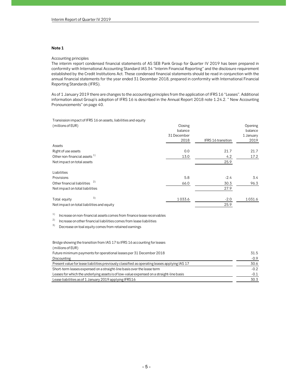# Note 1

## Accounting principles

The interim report condensed financial statements of AS SEB Pank Group for Quarter IV 2019 has been prepared in conformity with International Accounting Standard IAS 34 "Interim Financial Reporting" and the disclosure requirement established by the Credit Institutions Act. These condensed financial statements should be read in conjunction with the annual financial statements for the year ended 31 December 2018, prepared in conformity with International Financial Reporting Standards (IFRS).

# Transission impact of IFRS 16 on assets, liabilities and equity

| conformity with International Accounting Standard IAS 34 "Interim Financial Reporting" and the disclosure requirement<br>established by the Credit Institutions Act. These condensed financial statements should be read in conjunction with the<br>annual financial statements for the year ended 31 December 2018, prepared in conformity with International Financial<br>Reporting Standards (IFRS). |                                   |                    |                                 |  |
|---------------------------------------------------------------------------------------------------------------------------------------------------------------------------------------------------------------------------------------------------------------------------------------------------------------------------------------------------------------------------------------------------------|-----------------------------------|--------------------|---------------------------------|--|
| As of 1 January 2019 there are changes to the accounting principles from the application of IFRS 16 "Leases". Additional<br>information about Group's adoption of IFRS 16 is described in the Annual Report 2018 note 1.24.2. " New Accounting<br>Pronouncements" on page 40.                                                                                                                           |                                   |                    |                                 |  |
| Transission impact of IFRS 16 on assets, liabilities and equity                                                                                                                                                                                                                                                                                                                                         |                                   |                    |                                 |  |
| (millions of EUR)                                                                                                                                                                                                                                                                                                                                                                                       | Closing<br>balance<br>31 December |                    | Opening<br>balance<br>1 January |  |
|                                                                                                                                                                                                                                                                                                                                                                                                         | 2018                              | IFRS 16 transition | 2019                            |  |
| Assets                                                                                                                                                                                                                                                                                                                                                                                                  |                                   |                    |                                 |  |
| Right of use assets                                                                                                                                                                                                                                                                                                                                                                                     | 0.0                               | 21.7               | 21.7                            |  |
| Other non-financial assets <sup>1)</sup>                                                                                                                                                                                                                                                                                                                                                                | 13.0                              | 4.2                | 17.2                            |  |
| Net impact on total assets                                                                                                                                                                                                                                                                                                                                                                              |                                   | 25.9               |                                 |  |
| Liabilities                                                                                                                                                                                                                                                                                                                                                                                             |                                   |                    |                                 |  |
| Provisions                                                                                                                                                                                                                                                                                                                                                                                              | 5.8                               | $-2.4$             | 3.4                             |  |
| Other financial liabilities                                                                                                                                                                                                                                                                                                                                                                             | 66.0                              | 30.3               | 96.3                            |  |
| Net impact on total liabilities                                                                                                                                                                                                                                                                                                                                                                         |                                   | 27.9               |                                 |  |
| 3)<br>Total equity                                                                                                                                                                                                                                                                                                                                                                                      | 1033.6                            | $-2.0$             | 1031.6                          |  |
| Net impact on total liabilities and equity                                                                                                                                                                                                                                                                                                                                                              |                                   | 25.9               |                                 |  |
|                                                                                                                                                                                                                                                                                                                                                                                                         |                                   |                    |                                 |  |
| 1)<br>Increase on non-financial assets comes from finance lease receivables                                                                                                                                                                                                                                                                                                                             |                                   |                    |                                 |  |
| 2)<br>Increase on other financial liabilities comes from lease liabilities                                                                                                                                                                                                                                                                                                                              |                                   |                    |                                 |  |
| 3)<br>Decrease on toal equity comes from retained earnings                                                                                                                                                                                                                                                                                                                                              |                                   |                    |                                 |  |
|                                                                                                                                                                                                                                                                                                                                                                                                         |                                   |                    |                                 |  |
| Bridge showing the transition from IAS 17 to IFRS 16 accounting for leases<br>(millions of EUR)                                                                                                                                                                                                                                                                                                         |                                   |                    |                                 |  |
| Future minimum payments for operational leases per 31 December 2018                                                                                                                                                                                                                                                                                                                                     |                                   |                    | 31.5                            |  |
| Discounting                                                                                                                                                                                                                                                                                                                                                                                             |                                   |                    | $-0.9$                          |  |
| Present value for lease liabilities previously classified as operating leases applying IAS 17                                                                                                                                                                                                                                                                                                           |                                   |                    | 30.6                            |  |
| Short-term leases expensed on a straight-line basis over the lease term                                                                                                                                                                                                                                                                                                                                 |                                   |                    | $-0.2$                          |  |

#### Bridge showing the transition from IAS 17 to IFRS 16 accounting for leases (millions of EUR)

| Net impact on total liabilities                                                               |        | 27.9   |        |
|-----------------------------------------------------------------------------------------------|--------|--------|--------|
| 3)<br>Total equity                                                                            | 1033.6 | $-2.0$ | 1031.6 |
| Net impact on total liabilities and equity                                                    |        | 25.9   |        |
| 1)<br>Increase on non-financial assets comes from finance lease receivables                   |        |        |        |
| 2)<br>Increase on other financial liabilities comes from lease liabilities                    |        |        |        |
| 3)<br>Decrease on toal equity comes from retained earnings                                    |        |        |        |
| Bridge showing the transition from IAS 17 to IFRS 16 accounting for leases                    |        |        |        |
| (millions of EUR)                                                                             |        |        |        |
| Future minimum payments for operational leases per 31 December 2018                           |        |        | 31.5   |
| Discounting                                                                                   |        |        | $-0.9$ |
| Present value for lease liabilities previously classified as operating leases applying IAS 17 |        |        | 30.6   |
| Short-term leases expensed on a straight-line basis over the lease term                       |        |        | $-0.2$ |
| Leases for which the underlying assets is of low-value expensed on a straight-line basis      |        |        | $-0.1$ |
| Lease liabilities as of 1 January 2019 applying IFRS16                                        |        |        | 30.3   |